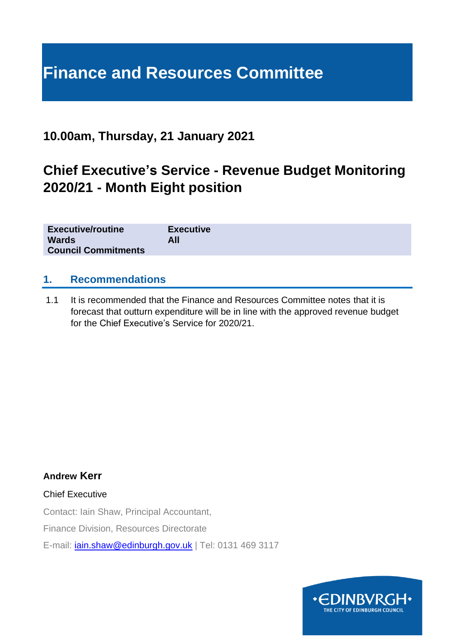# **Finance and Resources Committee**

### **10.00am, Thursday, 21 January 2021**

## **Chief Executive's Service - Revenue Budget Monitoring 2020/21 - Month Eight position**

| <b>Executive/routine</b>   | <b>Executive</b> |
|----------------------------|------------------|
| <b>Wards</b>               | All              |
| <b>Council Commitments</b> |                  |

#### **1. Recommendations**

1.1 It is recommended that the Finance and Resources Committee notes that it is forecast that outturn expenditure will be in line with the approved revenue budget for the Chief Executive's Service for 2020/21.

**Andrew Kerr**

Chief Executive

Contact: Iain Shaw, Principal Accountant,

Finance Division, Resources Directorate

E-mail: [iain.shaw@edinburgh.gov.uk](mailto:iain.shaw@edinburgh.gov.uk) | Tel: 0131 469 3117

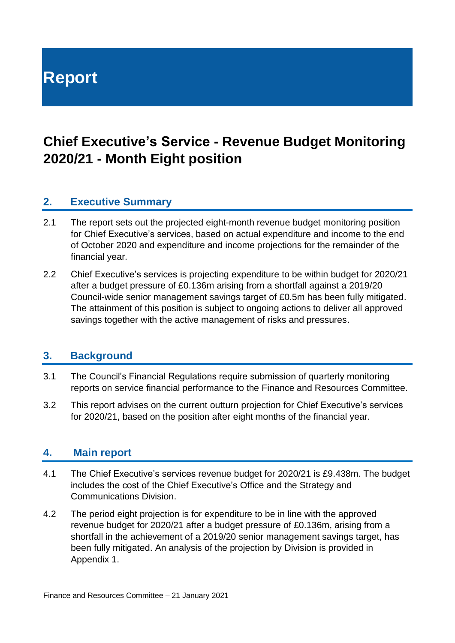# **Report**

## **Chief Executive's Service - Revenue Budget Monitoring 2020/21 - Month Eight position**

#### **2. Executive Summary**

- 2.1 The report sets out the projected eight-month revenue budget monitoring position for Chief Executive's services, based on actual expenditure and income to the end of October 2020 and expenditure and income projections for the remainder of the financial year.
- 2.2 Chief Executive's services is projecting expenditure to be within budget for 2020/21 after a budget pressure of £0.136m arising from a shortfall against a 2019/20 Council-wide senior management savings target of £0.5m has been fully mitigated. The attainment of this position is subject to ongoing actions to deliver all approved savings together with the active management of risks and pressures.

#### **3. Background**

- 3.1 The Council's Financial Regulations require submission of quarterly monitoring reports on service financial performance to the Finance and Resources Committee.
- 3.2 This report advises on the current outturn projection for Chief Executive's services for 2020/21, based on the position after eight months of the financial year.

#### **4. Main report**

- 4.1 The Chief Executive's services revenue budget for 2020/21 is £9.438m. The budget includes the cost of the Chief Executive's Office and the Strategy and Communications Division.
- 4.2 The period eight projection is for expenditure to be in line with the approved revenue budget for 2020/21 after a budget pressure of £0.136m, arising from a shortfall in the achievement of a 2019/20 senior management savings target, has been fully mitigated. An analysis of the projection by Division is provided in Appendix 1.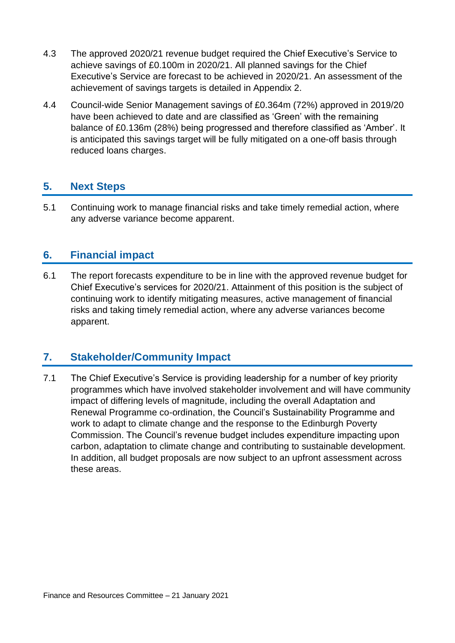- 4.3 The approved 2020/21 revenue budget required the Chief Executive's Service to achieve savings of £0.100m in 2020/21. All planned savings for the Chief Executive's Service are forecast to be achieved in 2020/21. An assessment of the achievement of savings targets is detailed in Appendix 2.
- 4.4 Council-wide Senior Management savings of £0.364m (72%) approved in 2019/20 have been achieved to date and are classified as 'Green' with the remaining balance of £0.136m (28%) being progressed and therefore classified as 'Amber'. It is anticipated this savings target will be fully mitigated on a one-off basis through reduced loans charges.

#### **5. Next Steps**

5.1 Continuing work to manage financial risks and take timely remedial action, where any adverse variance become apparent.

#### **6. Financial impact**

6.1 The report forecasts expenditure to be in line with the approved revenue budget for Chief Executive's services for 2020/21. Attainment of this position is the subject of continuing work to identify mitigating measures, active management of financial risks and taking timely remedial action, where any adverse variances become apparent.

#### **7. Stakeholder/Community Impact**

7.1 The Chief Executive's Service is providing leadership for a number of key priority programmes which have involved stakeholder involvement and will have community impact of differing levels of magnitude, including the overall Adaptation and Renewal Programme co-ordination, the Council's Sustainability Programme and work to adapt to climate change and the response to the Edinburgh Poverty Commission. The Council's revenue budget includes expenditure impacting upon carbon, adaptation to climate change and contributing to sustainable development. In addition, all budget proposals are now subject to an upfront assessment across these areas.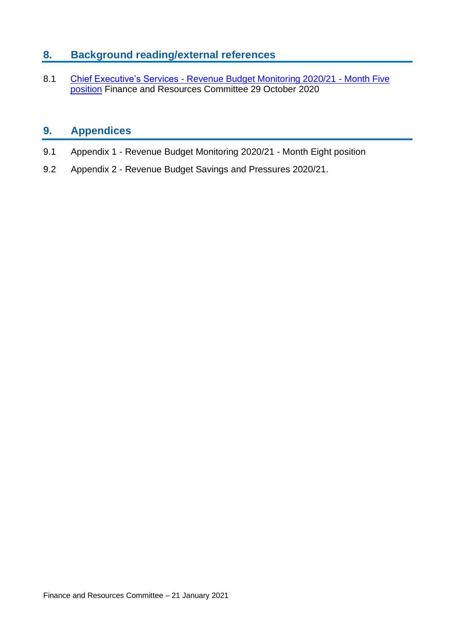#### **8. Background reading/external references**

8.1 Chief Executive's Services - [Revenue Budget Monitoring 2020/21 -](https://democracy.edinburgh.gov.uk/documents/s28349/7.4%20-%20CE%20Service%20M5%20Revenue%20Monitoring.pdf) Month Five [position](https://democracy.edinburgh.gov.uk/documents/s28349/7.4%20-%20CE%20Service%20M5%20Revenue%20Monitoring.pdf) Finance and Resources Committee 29 October 2020

#### **9. Appendices**

- 9.1 Appendix 1 Revenue Budget Monitoring 2020/21 Month Eight position
- 9.2 Appendix 2 Revenue Budget Savings and Pressures 2020/21.